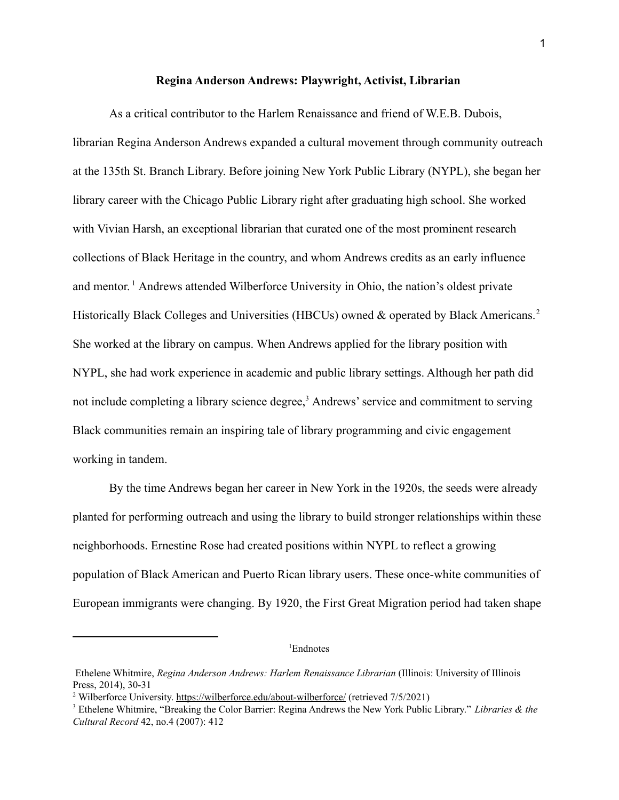## **Regina Anderson Andrews: Playwright, Activist, Librarian**

As a critical contributor to the Harlem Renaissance and friend of W.E.B. Dubois, librarian Regina Anderson Andrews expanded a cultural movement through community outreach at the 135th St. Branch Library. Before joining New York Public Library (NYPL), she began her library career with the Chicago Public Library right after graduating high school. She worked with Vivian Harsh, an exceptional librarian that curated one of the most prominent research collections of Black Heritage in the country, and whom Andrews credits as an early influence and mentor.<sup>1</sup> Andrews attended Wilberforce University in Ohio, the nation's oldest private Historically Black Colleges and Universities (HBCUs) owned & operated by Black Americans.<sup>2</sup> She worked at the library on campus. When Andrews applied for the library position with NYPL, she had work experience in academic and public library settings. Although her path did not include completing a library science degree, $<sup>3</sup>$  Andrews' service and commitment to serving</sup> Black communities remain an inspiring tale of library programming and civic engagement working in tandem.

By the time Andrews began her career in New York in the 1920s, the seeds were already planted for performing outreach and using the library to build stronger relationships within these neighborhoods. Ernestine Rose had created positions within NYPL to reflect a growing population of Black American and Puerto Rican library users. These once-white communities of European immigrants were changing. By 1920, the First Great Migration period had taken shape

 ${}^{1}$ Endnotes

Ethelene Whitmire, *Regina Anderson Andrews: Harlem Renaissance Librarian* (Illinois: University of Illinois Press, 2014), 30-31

<sup>&</sup>lt;sup>2</sup> Wilberforce University. <https://wilberforce.edu/about-wilberforce/> (retrieved 7/5/2021)

<sup>3</sup> Ethelene Whitmire, "Breaking the Color Barrier: Regina Andrews the New York Public Library." *Libraries & the Cultural Record* 42, no.4 (2007): 412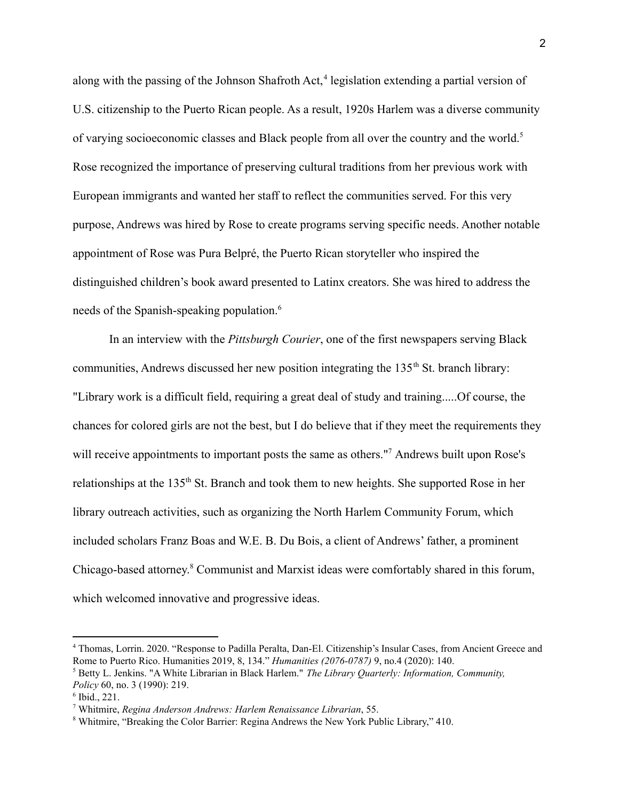along with the passing of the Johnson Shafroth Act, $4$  legislation extending a partial version of U.S. citizenship to the Puerto Rican people. As a result, 1920s Harlem was a diverse community of varying socioeconomic classes and Black people from all over the country and the world.<sup>5</sup> Rose recognized the importance of preserving cultural traditions from her previous work with European immigrants and wanted her staff to reflect the communities served. For this very purpose, Andrews was hired by Rose to create programs serving specific needs. Another notable appointment of Rose was Pura Belpré, the Puerto Rican storyteller who inspired the distinguished children's book award presented to Latinx creators. She was hired to address the needs of the Spanish-speaking population.<sup>6</sup>

In an interview with the *Pittsburgh Courier*, one of the first newspapers serving Black communities, Andrews discussed her new position integrating the  $135<sup>th</sup>$  St. branch library: "Library work is a difficult field, requiring a great deal of study and training.....Of course, the chances for colored girls are not the best, but I do believe that if they meet the requirements they will receive appointments to important posts the same as others."<sup>7</sup> Andrews built upon Rose's relationships at the 135<sup>th</sup> St. Branch and took them to new heights. She supported Rose in her library outreach activities, such as organizing the North Harlem Community Forum, which included scholars Franz Boas and W.E. B. Du Bois, a client of Andrews' father, a prominent Chicago-based attorney.<sup>8</sup> Communist and Marxist ideas were comfortably shared in this forum, which welcomed innovative and progressive ideas.

<sup>4</sup> Thomas, Lorrin. 2020. "Response to Padilla Peralta, Dan-El. Citizenship's Insular Cases, from Ancient Greece and Rome to Puerto Rico. Humanities 2019, 8, 134." *Humanities (2076-0787)* 9, no.4 (2020): 140.

<sup>5</sup> Betty L. Jenkins. "A White Librarian in Black Harlem." *The Library Quarterly: Information, Community, Policy* 60, no. 3 (1990): 219.

<sup>6</sup> Ibid., 221.

<sup>7</sup> Whitmire, *Regina Anderson Andrews: Harlem Renaissance Librarian*, 55.

<sup>8</sup> Whitmire, "Breaking the Color Barrier: Regina Andrews the New York Public Library," 410.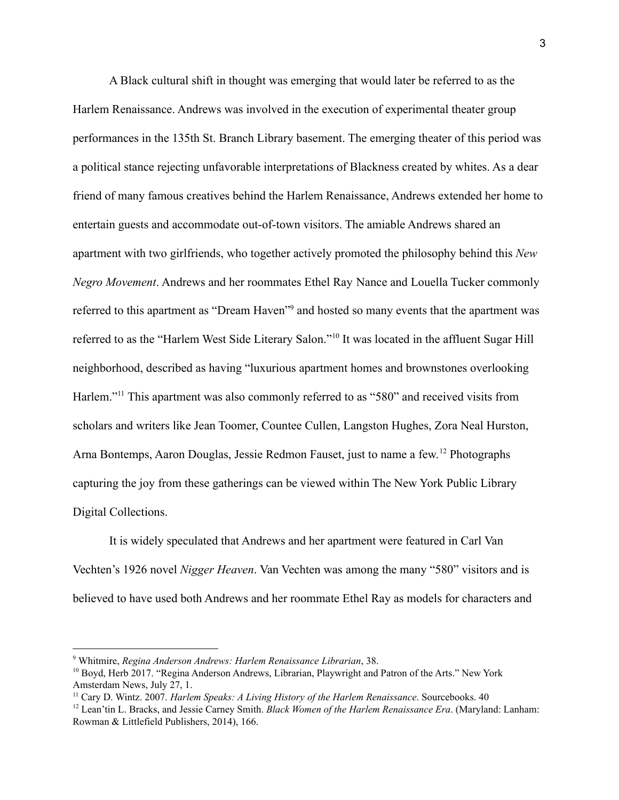A Black cultural shift in thought was emerging that would later be referred to as the Harlem Renaissance. Andrews was involved in the execution of experimental theater group performances in the 135th St. Branch Library basement. The emerging theater of this period was a political stance rejecting unfavorable interpretations of Blackness created by whites. As a dear friend of many famous creatives behind the Harlem Renaissance, Andrews extended her home to entertain guests and accommodate out-of-town visitors. The amiable Andrews shared an apartment with two girlfriends, who together actively promoted the philosophy behind this *New Negro Movement*. Andrews and her roommates Ethel Ray Nance and Louella Tucker commonly referred to this apartment as "Dream Haven"<sup>9</sup> and hosted so many events that the apartment was referred to as the "Harlem West Side Literary Salon."<sup>10</sup> It was located in the affluent Sugar Hill neighborhood, described as having "luxurious apartment homes and brownstones overlooking Harlem."<sup>11</sup> This apartment was also commonly referred to as "580" and received visits from scholars and writers like Jean Toomer, Countee Cullen, Langston Hughes, Zora Neal Hurston, Arna Bontemps, Aaron Douglas, Jessie Redmon Fauset, just to name a few.<sup>12</sup> Photographs capturing the joy from these gatherings can be viewed within The New York Public Library Digital Collections.

It is widely speculated that Andrews and her apartment were featured in Carl Van Vechten's 1926 novel *Nigger Heaven*. Van Vechten was among the many "580" visitors and is believed to have used both Andrews and her roommate Ethel Ray as models for characters and

<sup>9</sup> Whitmire, *Regina Anderson Andrews: Harlem Renaissance Librarian*, 38.

<sup>&</sup>lt;sup>10</sup> Boyd, Herb 2017. "Regina Anderson Andrews, Librarian, Playwright and Patron of the Arts." New York Amsterdam News, July 27, 1.

<sup>11</sup> Cary D. Wintz. 2007. *Harlem Speaks: A Living History of the Harlem Renaissance*. Sourcebooks. 40

<sup>12</sup> Lean'tin L. Bracks, and Jessie Carney Smith. *Black Women of the Harlem Renaissance Era*. (Maryland: Lanham: Rowman & Littlefield Publishers, 2014), 166.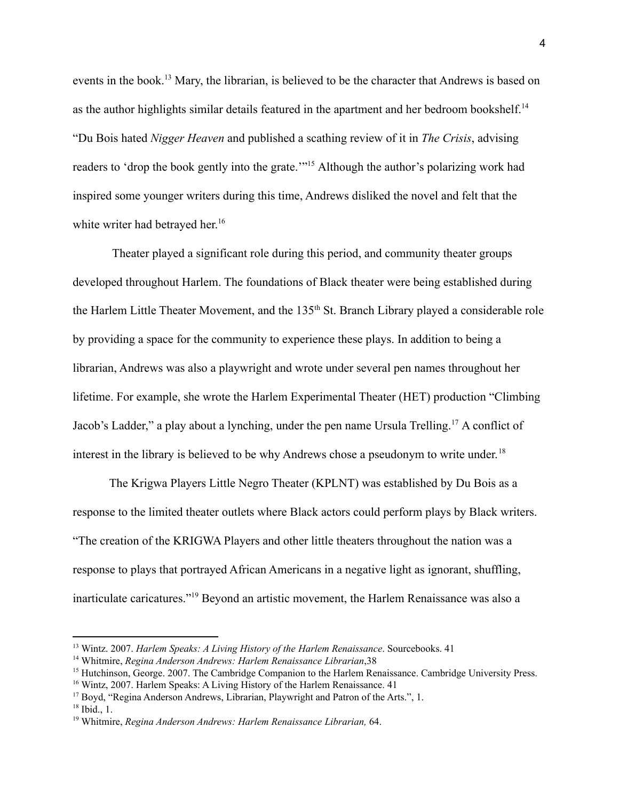events in the book.<sup>13</sup> Mary, the librarian, is believed to be the character that Andrews is based on as the author highlights similar details featured in the apartment and her bedroom bookshelf.<sup>14</sup> "Du Bois hated *Nigger Heaven* and published a scathing review of it in *The Crisis*, advising readers to 'drop the book gently into the grate.'"<sup>15</sup> Although the author's polarizing work had inspired some younger writers during this time, Andrews disliked the novel and felt that the white writer had betrayed her.<sup>16</sup>

Theater played a significant role during this period, and community theater groups developed throughout Harlem. The foundations of Black theater were being established during the Harlem Little Theater Movement, and the 135<sup>th</sup> St. Branch Library played a considerable role by providing a space for the community to experience these plays. In addition to being a librarian, Andrews was also a playwright and wrote under several pen names throughout her lifetime. For example, she wrote the Harlem Experimental Theater (HET) production "Climbing Jacob's Ladder," a play about a lynching, under the pen name Ursula Trelling.<sup>17</sup> A conflict of interest in the library is believed to be why Andrews chose a pseudonym to write under. 18

The Krigwa Players Little Negro Theater (KPLNT) was established by Du Bois as a response to the limited theater outlets where Black actors could perform plays by Black writers. "The creation of the KRIGWA Players and other little theaters throughout the nation was a response to plays that portrayed African Americans in a negative light as ignorant, shuffling, inarticulate caricatures."<sup>19</sup> Beyond an artistic movement, the Harlem Renaissance was also a

<sup>13</sup> Wintz. 2007. *Harlem Speaks: A Living History of the Harlem Renaissance*. Sourcebooks. 41

<sup>14</sup> Whitmire, *Regina Anderson Andrews: Harlem Renaissance Librarian*,38

<sup>&</sup>lt;sup>15</sup> Hutchinson, George. 2007. The Cambridge Companion to the Harlem Renaissance. Cambridge University Press.

<sup>&</sup>lt;sup>16</sup> Wintz, 2007. Harlem Speaks: A Living History of the Harlem Renaissance. 41

<sup>&</sup>lt;sup>17</sup> Boyd, "Regina Anderson Andrews, Librarian, Playwright and Patron of the Arts.", 1.

 $18$  Ibid., 1.

<sup>19</sup> Whitmire, *Regina Anderson Andrews: Harlem Renaissance Librarian,* 64.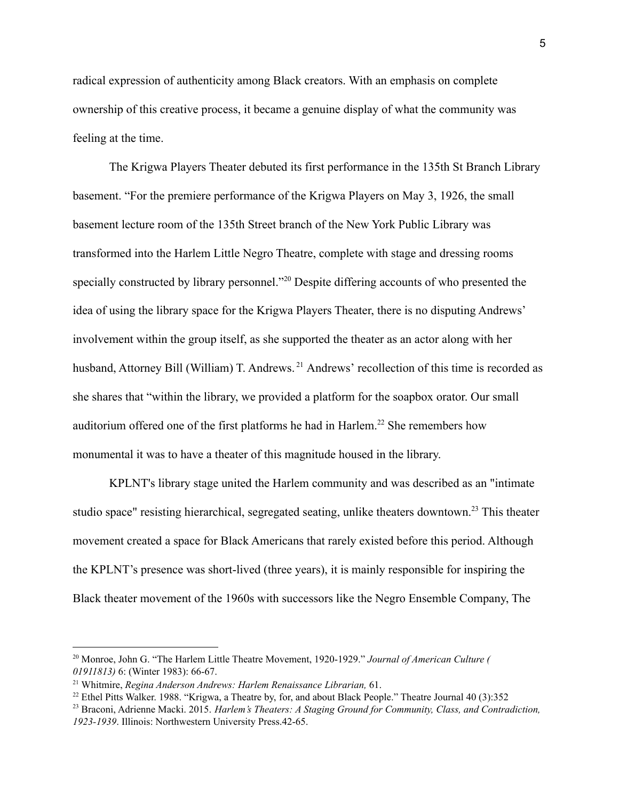radical expression of authenticity among Black creators. With an emphasis on complete ownership of this creative process, it became a genuine display of what the community was feeling at the time.

The Krigwa Players Theater debuted its first performance in the 135th St Branch Library basement. "For the premiere performance of the Krigwa Players on May 3, 1926, the small basement lecture room of the 135th Street branch of the New York Public Library was transformed into the Harlem Little Negro Theatre, complete with stage and dressing rooms specially constructed by library personnel."<sup>20</sup> Despite differing accounts of who presented the idea of using the library space for the Krigwa Players Theater, there is no disputing Andrews' involvement within the group itself, as she supported the theater as an actor along with her husband, Attorney Bill (William) T. Andrews.<sup>21</sup> Andrews' recollection of this time is recorded as she shares that "within the library, we provided a platform for the soapbox orator. Our small auditorium offered one of the first platforms he had in Harlem.<sup>22</sup> She remembers how monumental it was to have a theater of this magnitude housed in the library.

KPLNT's library stage united the Harlem community and was described as an "intimate studio space" resisting hierarchical, segregated seating, unlike theaters downtown.<sup>23</sup> This theater movement created a space for Black Americans that rarely existed before this period. Although the KPLNT's presence was short-lived (three years), it is mainly responsible for inspiring the Black theater movement of the 1960s with successors like the Negro Ensemble Company, The

<sup>20</sup> Monroe, John G. "The Harlem Little Theatre Movement, 1920-1929." *Journal of American Culture ( 01911813)* 6: (Winter 1983): 66-67.

<sup>21</sup> Whitmire, *Regina Anderson Andrews: Harlem Renaissance Librarian,* 61.

<sup>&</sup>lt;sup>22</sup> Ethel Pitts Walker. 1988. "Krigwa, a Theatre by, for, and about Black People." Theatre Journal 40 (3):352

<sup>23</sup> Braconi, Adrienne Macki. 2015. *Harlem's Theaters: A Staging Ground for Community, Class, and Contradiction, 1923-1939*. Illinois: Northwestern University Press.42-65.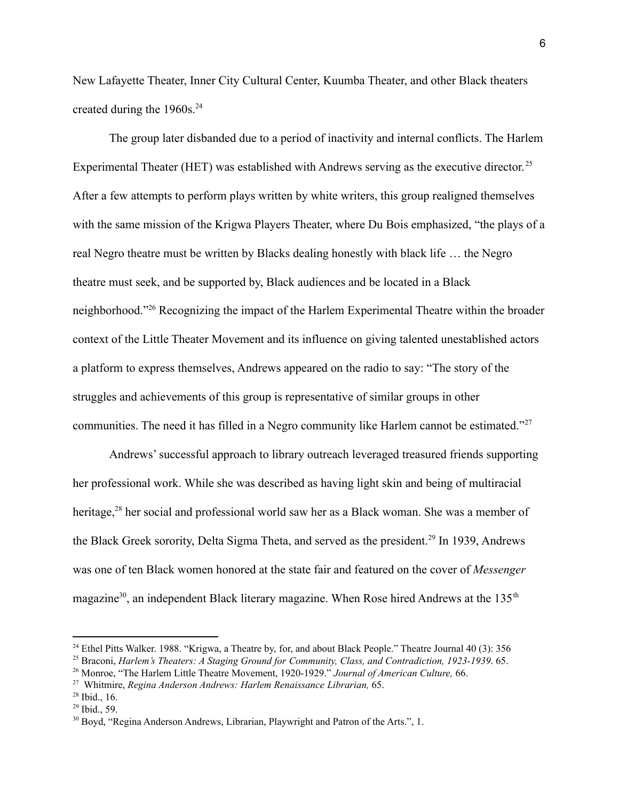New Lafayette Theater, Inner City Cultural Center, Kuumba Theater, and other Black theaters created during the  $1960s.<sup>24</sup>$ 

The group later disbanded due to a period of inactivity and internal conflicts. The Harlem Experimental Theater (HET) was established with Andrews serving as the executive director.<sup>25</sup> After a few attempts to perform plays written by white writers, this group realigned themselves with the same mission of the Krigwa Players Theater, where Du Bois emphasized, "the plays of a real Negro theatre must be written by Blacks dealing honestly with black life … the Negro theatre must seek, and be supported by, Black audiences and be located in a Black neighborhood."<sup>26</sup> Recognizing the impact of the Harlem Experimental Theatre within the broader context of the Little Theater Movement and its influence on giving talented unestablished actors a platform to express themselves, Andrews appeared on the radio to say: "The story of the struggles and achievements of this group is representative of similar groups in other communities. The need it has filled in a Negro community like Harlem cannot be estimated."<sup>27</sup>

Andrews' successful approach to library outreach leveraged treasured friends supporting her professional work. While she was described as having light skin and being of multiracial heritage,  $28$  her social and professional world saw her as a Black woman. She was a member of the Black Greek sorority, Delta Sigma Theta, and served as the president.<sup>29</sup> In 1939, Andrews was one of ten Black women honored at the state fair and featured on the cover of *Messenger* magazine<sup>30</sup>, an independent Black literary magazine. When Rose hired Andrews at the 135<sup>th</sup>

<sup>&</sup>lt;sup>24</sup> Ethel Pitts Walker. 1988. "Krigwa, a Theatre by, for, and about Black People." Theatre Journal 40 (3): 356

<sup>25</sup> Braconi, *Harlem's Theaters: A Staging Ground for Community, Class, and Contradiction, 1923-1939*. 65.

<sup>26</sup> Monroe, "The Harlem Little Theatre Movement, 1920-1929." *Journal of American Culture,* 66.

<sup>27</sup> Whitmire, *Regina Anderson Andrews: Harlem Renaissance Librarian,* 65.

 $28$  Ibid., 16.

 $29$  Ibid., 59.

<sup>&</sup>lt;sup>30</sup> Boyd, "Regina Anderson Andrews, Librarian, Playwright and Patron of the Arts.", 1.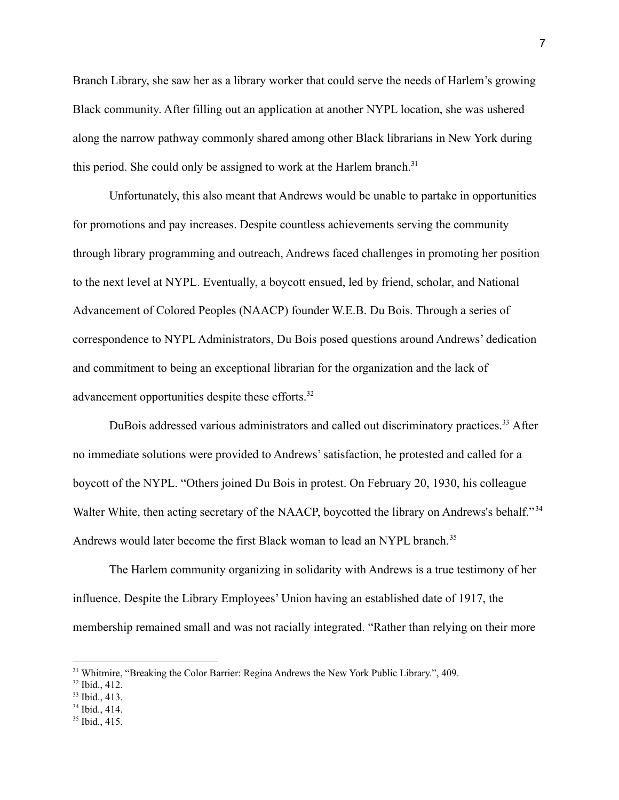Branch Library, she saw her as a library worker that could serve the needs of Harlem's growing Black community. After filling out an application at another NYPL location, she was ushered along the narrow pathway commonly shared among other Black librarians in New York during this period. She could only be assigned to work at the Harlem branch.<sup>31</sup>

Unfortunately, this also meant that Andrews would be unable to partake in opportunities for promotions and pay increases. Despite countless achievements serving the community through library programming and outreach, Andrews faced challenges in promoting her position to the next level at NYPL. Eventually, a boycott ensued, led by friend, scholar, and National Advancement of Colored Peoples (NAACP) founder W.E.B. Du Bois. Through a series of correspondence to NYPL Administrators, Du Bois posed questions around Andrews' dedication and commitment to being an exceptional librarian for the organization and the lack of advancement opportunities despite these efforts.<sup>32</sup>

DuBois addressed various administrators and called out discriminatory practices.<sup>33</sup> After no immediate solutions were provided to Andrews' satisfaction, he protested and called for a boycott of the NYPL. "Others joined Du Bois in protest. On February 20, 1930, his colleague Walter White, then acting secretary of the NAACP, boycotted the library on Andrews's behalf."<sup>34</sup> Andrews would later become the first Black woman to lead an NYPL branch.<sup>35</sup>

The Harlem community organizing in solidarity with Andrews is a true testimony of her influence. Despite the Library Employees' Union having an established date of 1917, the membership remained small and was not racially integrated. "Rather than relying on their more

<sup>&</sup>lt;sup>31</sup> Whitmire, "Breaking the Color Barrier: Regina Andrews the New York Public Library.", 409.

 $32$  Ibid., 412.

<sup>33</sup> Ibid., 413.

 $34$  Ibid., 414.

<sup>35</sup> Ibid., 415.